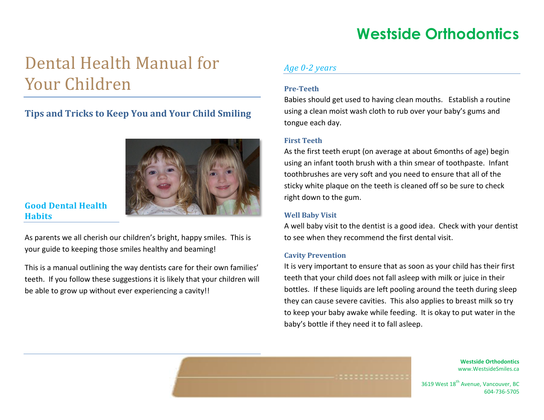# Dental Health Manual for Your Children

## **Tips and Tricks to Keep You and Your Child Smiling**



### **Good Dental Health Habits**

As parents we all cherish our children's bright, happy smiles. This is your guide to keeping those smiles healthy and beaming!

This is a manual outlining the way dentists care for their own families' teeth. If you follow these suggestions it is likely that your children will be able to grow up without ever experiencing a cavity!!

### *Age 0-2 years*

### **Pre-Teeth**

Babies should get used to having clean mouths. Establish a routine using a clean moist wash cloth to rub over your baby's gums and tongue each day.

### **First Teeth**

As the first teeth erupt (on average at about 6months of age) begin using an infant tooth brush with a thin smear of toothpaste. Infant toothbrushes are very soft and you need to ensure that all of the sticky white plaque on the teeth is cleaned off so be sure to check right down to the gum.

### **Well Baby Visit**

A well baby visit to the dentist is a good idea. Check with your dentist to see when they recommend the first dental visit.

### **Cavity Prevention**

It is very important to ensure that as soon as your child has their first teeth that your child does not fall asleep with milk or juice in their bottles. If these liquids are left pooling around the teeth during sleep they can cause severe cavities. This also applies to breast milk so try to keep your baby awake while feeding. It is okay to put water in the baby's bottle if they need it to fall asleep.

> **Westside Orthodontics** www.WestsideSmiles.ca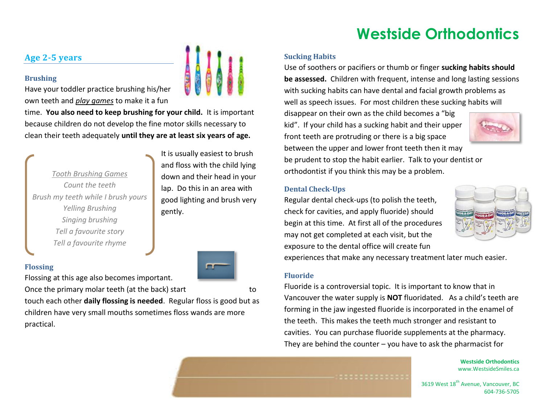### **Sucking Habits**

**Age 2-5 years** 

### **Brushing**

**Flossing**

Have your toddler practice brushing his/her own teeth and *play games* to make it a fun

time. **You also need to keep brushing for your child.** It is important because children do not develop the fine motor skills necessary to clean their teeth adequately **until they are at least six years of age.**

*Tooth Brushing Games Count the teeth Brush my teeth while I brush yours Yelling Brushing Singing brushing Tell a favourite story Tell a favourite rhyme*

It is usually easiest to brush and floss with the child lying down and their head in your lap. Do this in an area with good lighting and brush very gently.



Flossing at this age also becomes important.

Once the primary molar teeth (at the back) start to

touch each other **daily flossing is needed**. Regular floss is good but as children have very small mouths sometimes floss wands are more practical.

Use of soothers or pacifiers or thumb or finger **sucking habits should be assessed.** Children with frequent, intense and long lasting sessions with sucking habits can have dental and facial growth problems as well as speech issues. For most children these sucking habits will

disappear on their own as the child becomes a "big kid". If your child has a sucking habit and their upper front teeth are protruding or there is a big space between the upper and lower front teeth then it may



be prudent to stop the habit earlier. Talk to your dentist or orthodontist if you think this may be a problem.

### **Dental Check-Ups**

Regular dental check-ups (to polish the teeth, check for cavities, and apply fluoride) should begin at this time. At first all of the procedures may not get completed at each visit, but the exposure to the dental office will create fun



experiences that make any necessary treatment later much easier.

### **Fluoride**

Fluoride is a controversial topic. It is important to know that in Vancouver the water supply is **NOT** fluoridated. As a child's teeth are forming in the jaw ingested fluoride is incorporated in the enamel of the teeth. This makes the teeth much stronger and resistant to cavities. You can purchase fluoride supplements at the pharmacy. They are behind the counter  $-$  you have to ask the pharmacist for

> **Westside Orthodontics** www.WestsideSmiles.ca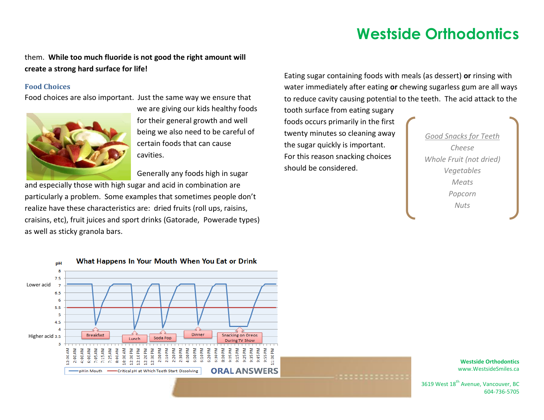### them. **While too much fluoride is not good the right amount will create a strong hard surface for life!**

### **Food Choices**

Food choices are also important. Just the same way we ensure that



we are giving our kids healthy foods for their general growth and well being we also need to be careful of certain foods that can cause cavities.

Generally any foods high in sugar

and especially those with high sugar and acid in combination are particularly a problem. Some examples that sometimes people don't realize have these characteristics are: dried fruits (roll ups, raisins, craisins, etc), fruit juices and sport drinks (Gatorade, Powerade types) as well as sticky granola bars.

Eating sugar containing foods with meals (as dessert) **or** rinsing with water immediately after eating **or** chewing sugarless gum are all ways to reduce cavity causing potential to the teeth. The acid attack to the

tooth surface from eating sugary foods occurs primarily in the first twenty minutes so cleaning away the sugar quickly is important. For this reason snacking choices should be considered.

*Good Snacks for Teeth Cheese Whole Fruit (not dried) Vegetables Meats Popcorn Nuts*



**Westside Orthodontics** www.WestsideSmiles.ca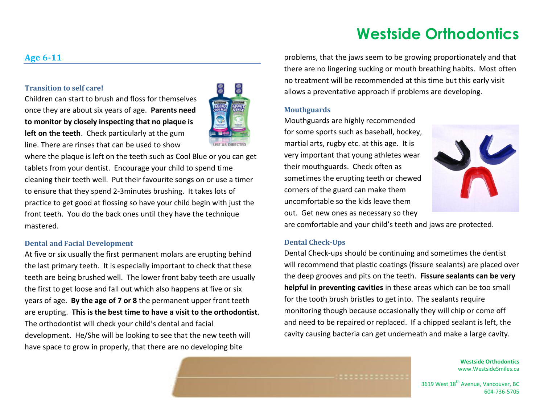### **Age 6-11**

### **Transition to self care!**

Children can start to brush and floss for themselves once they are about six years of age. **Parents need to monitor by closely inspecting that no plaque is left on the teeth**. Check particularly at the gum line. There are rinses that can be used to show



where the plaque is left on the teeth such as Cool Blue or you can get tablets from your dentist. Encourage your child to spend time cleaning their teeth well. Put their favourite songs on or use a timer to ensure that they spend 2-3minutes brushing. It takes lots of practice to get good at flossing so have your child begin with just the front teeth. You do the back ones until they have the technique mastered.

#### **Dental and Facial Development**

At five or six usually the first permanent molars are erupting behind the last primary teeth. It is especially important to check that these teeth are being brushed well. The lower front baby teeth are usually the first to get loose and fall out which also happens at five or six years of age. **By the age of 7 or 8** the permanent upper front teeth are erupting. **This is the best time to have a visit to the orthodontist**. The orthodontist will check your child's dental and facial development. He/She will be looking to see that the new teeth will have space to grow in properly, that there are no developing bite

problems, that the jaws seem to be growing proportionately and that there are no lingering sucking or mouth breathing habits. Most often no treatment will be recommended at this time but this early visit allows a preventative approach if problems are developing.

#### **Mouthguards**

Mouthguards are highly recommended for some sports such as baseball, hockey, martial arts, rugby etc. at this age. It is very important that young athletes wear their mouthguards. Check often as sometimes the erupting teeth or chewed corners of the guard can make them uncomfortable so the kids leave them out. Get new ones as necessary so they



are comfortable and your child's teeth and jaws are protected.

#### **Dental Check-Ups**

Dental Check-ups should be continuing and sometimes the dentist will recommend that plastic coatings (fissure sealants) are placed over the deep grooves and pits on the teeth. **Fissure sealants can be very helpful in preventing cavities** in these areas which can be too small for the tooth brush bristles to get into. The sealants require monitoring though because occasionally they will chip or come off and need to be repaired or replaced. If a chipped sealant is left, the cavity causing bacteria can get underneath and make a large cavity.

> **Westside Orthodontics** www.WestsideSmiles.ca